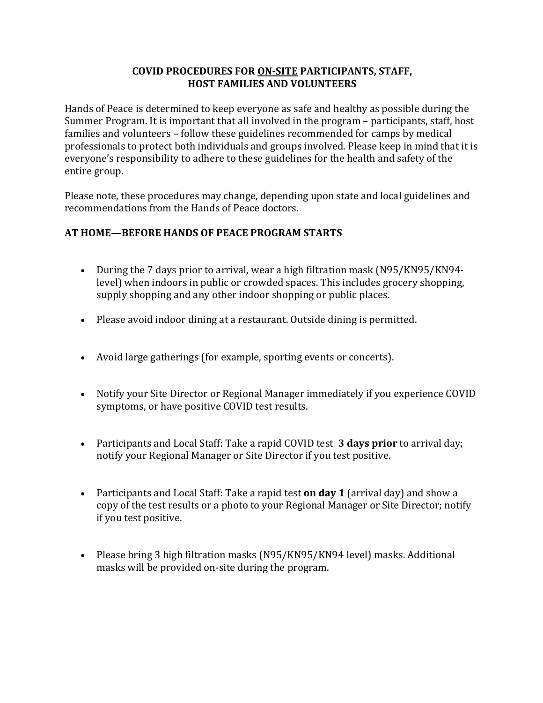### **COVID PROCEDURES FOR ON-SITE PARTICIPANTS, STAFF, HOST FAMILIES AND VOLUNTEERS**

Hands of Peace is determined to keep everyone as safe and healthy as possible during the Summer Program. It is important that all involved in the program - participants, staff, host families and volunteers – follow these guidelines recommended for camps by medical professionals to protect both individuals and groups involved. Please keep in mind that it is everyone's responsibility to adhere to these guidelines for the health and safety of the entire group.

Please note, these procedures may change, depending upon state and local guidelines and recommendations from the Hands of Peace doctors.

## AT HOME—BEFORE HANDS OF PEACE PROGRAM STARTS

- During the 7 days prior to arrival, wear a high filtration mask (N95/KN95/KN94level) when indoors in public or crowded spaces. This includes grocery shopping, supply shopping and any other indoor shopping or public places.
- Please avoid indoor dining at a restaurant. Outside dining is permitted.
- Avoid large gatherings (for example, sporting events or concerts).
- Notify your Site Director or Regional Manager immediately if you experience COVID symptoms, or have positive COVID test results.
- Participants and Local Staff: Take a rapid COVID test **3 days prior** to arrival day; notify your Regional Manager or Site Director if you test positive.
- Participants and Local Staff: Take a rapid test **on day 1** (arrival day) and show a copy of the test results or a photo to your Regional Manager or Site Director; notify if you test positive.
- Please bring 3 high filtration masks (N95/KN95/KN94 level) masks. Additional masks will be provided on-site during the program.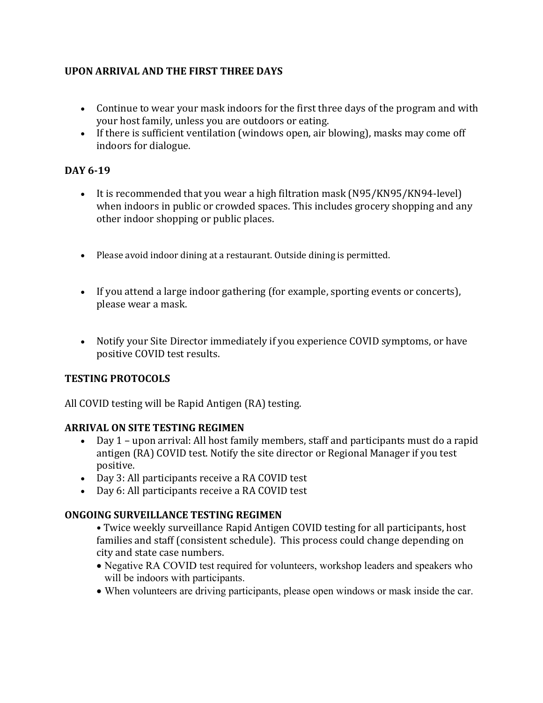# **UPON ARRIVAL AND THE FIRST THREE DAYS**

- Continue to wear your mask indoors for the first three days of the program and with your host family, unless you are outdoors or eating.
- If there is sufficient ventilation (windows open, air blowing), masks may come off indoors for dialogue.

## **DAY 6-19**

- It is recommended that you wear a high filtration mask  $(N95/KN95/KN94$ -level) when indoors in public or crowded spaces. This includes grocery shopping and any other indoor shopping or public places.
- Please avoid indoor dining at a restaurant. Outside dining is permitted.
- If you attend a large indoor gathering (for example, sporting events or concerts), please wear a mask.
- Notify your Site Director immediately if you experience COVID symptoms, or have positive COVID test results.

### **TESTING PROTOCOLS**

All COVID testing will be Rapid Antigen (RA) testing.

### **ARRIVAL ON SITE TESTING REGIMEN**

- Day 1 upon arrival: All host family members, staff and participants must do a rapid antigen (RA) COVID test. Notify the site director or Regional Manager if you test positive.
- Day 3: All participants receive a RA COVID test
- Day 6: All participants receive a RA COVID test

### **ONGOING SURVEILLANCE TESTING REGIMEN**

• Twice weekly surveillance Rapid Antigen COVID testing for all participants, host families and staff (consistent schedule). This process could change depending on city and state case numbers.

- Negative RA COVID test required for volunteers, workshop leaders and speakers who will be indoors with participants.
- When volunteers are driving participants, please open windows or mask inside the car.